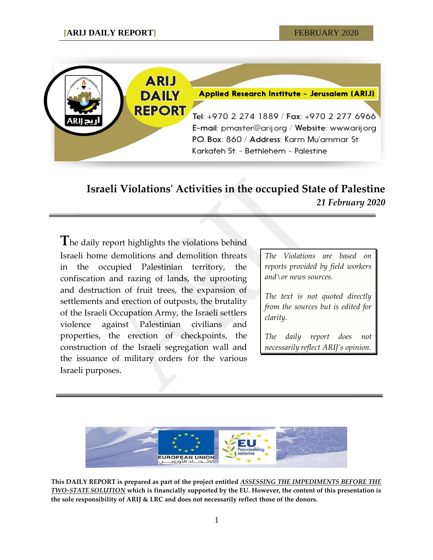

# **Israeli Violations' Activities in the occupied State of Palestine** *21 February 2020*

**T**he daily report highlights the violations behind Israeli home demolitions and demolition threats in the occupied Palestinian territory, the confiscation and razing of lands, the uprooting and destruction of fruit trees, the expansion of settlements and erection of outposts, the brutality of the Israeli Occupation Army, the Israeli settlers violence against Palestinian civilians and properties, the erection of checkpoints, the construction of the Israeli segregation wall and the issuance of military orders for the various Israeli purposes.

*The Violations are based on reports provided by field workers and\or news sources.*

*The text is not quoted directly from the sources but is edited for clarity.*

*The daily report does not necessarily reflect ARIJ's opinion.*



**This DAILY REPORT is prepared as part of the project entitled** *ASSESSING THE IMPEDIMENTS BEFORE THE TWO-STATE SOLUTION* **which is financially supported by the EU. However, the content of this presentation is the sole responsibility of ARIJ & LRC and does not necessarily reflect those of the donors.**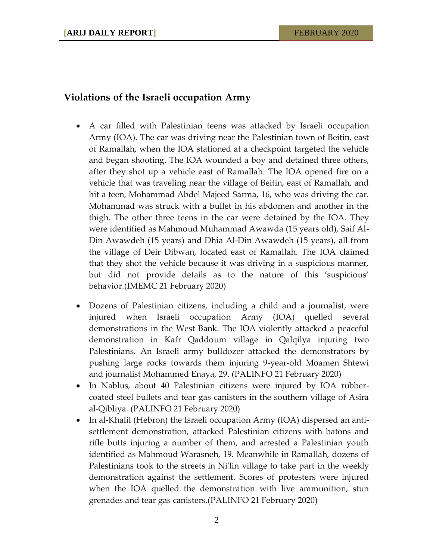### **Violations of the Israeli occupation Army**

- A car filled with Palestinian teens was attacked by Israeli occupation Army (IOA). The car was driving near the Palestinian town of Beitin, east of Ramallah, when the IOA stationed at a checkpoint targeted the vehicle and began shooting. The IOA wounded a boy and detained three others, after they shot up a vehicle east of Ramallah. The IOA opened fire on a vehicle that was traveling near the village of Beitin, east of Ramallah, and hit a teen, Mohammad Abdel Majeed Sarma, 16, who was driving the car. Mohammad was struck with a bullet in his abdomen and another in the thigh. The other three teens in the car were detained by the IOA. They were identified as Mahmoud Muhammad Awawda (15 years old), Saif Al-Din Awawdeh (15 years) and Dhia Al-Din Awawdeh (15 years), all from the village of Deir Dibwan, located east of Ramallah. The IOA claimed that they shot the vehicle because it was driving in a suspicious manner, but did not provide details as to the nature of this 'suspicious' behavior.(IMEMC 21 February 2020)
- Dozens of Palestinian citizens, including a child and a journalist, were injured when Israeli occupation Army (IOA) quelled several demonstrations in the West Bank. The IOA violently attacked a peaceful demonstration in Kafr Qaddoum village in Qalqilya injuring two Palestinians. An Israeli army bulldozer attacked the demonstrators by pushing large rocks towards them injuring 9-year-old Moamen Shtewi and journalist Mohammed Enaya, 29. (PALINFO 21 February 2020)
- In Nablus, about 40 Palestinian citizens were injured by IOA rubbercoated steel bullets and tear gas canisters in the southern village of Asira al-Qibliya. (PALINFO 21 February 2020)
- In al-Khalil (Hebron) the Israeli occupation Army (IOA) dispersed an antisettlement demonstration, attacked Palestinian citizens with batons and rifle butts injuring a number of them, and arrested a Palestinian youth identified as Mahmoud Warasneh, 19. Meanwhile in Ramallah, dozens of Palestinians took to the streets in Ni'lin village to take part in the weekly demonstration against the settlement. Scores of protesters were injured when the IOA quelled the demonstration with live ammunition, stun grenades and tear gas canisters.(PALINFO 21 February 2020)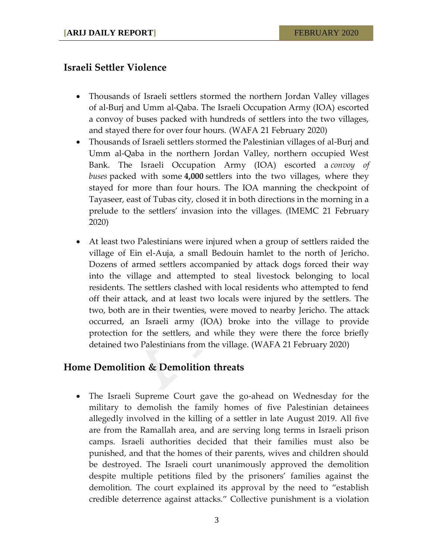## **Israeli Settler Violence**

- Thousands of Israeli settlers stormed the northern Jordan Valley villages of al-Burj and Umm al-Qaba. The Israeli Occupation Army (IOA) escorted a convoy of buses packed with hundreds of settlers into the two villages, and stayed there for over four hours. (WAFA 21 February 2020)
- Thousands of Israeli settlers stormed the Palestinian villages of al-Burj and Umm al-Qaba in the northern Jordan Valley, northern occupied West Bank. The Israeli Occupation Army (IOA) escorted a *convoy of buses* packed with some **4,000** settlers into the two villages, where they stayed for more than four hours. The IOA manning the checkpoint of Tayaseer, east of Tubas city, closed it in both directions in the morning in a prelude to the settlers' invasion into the villages. (IMEMC 21 February 2020)
- At least two Palestinians were injured when a group of settlers raided the village of Ein el-Auja, a small Bedouin hamlet to the north of Jericho. Dozens of armed settlers accompanied by attack dogs forced their way into the village and attempted to steal livestock belonging to local residents. The settlers clashed with local residents who attempted to fend off their attack, and at least two locals were injured by the settlers. The two, both are in their twenties, were moved to nearby Jericho. The attack occurred, an Israeli army (IOA) broke into the village to provide protection for the settlers, and while they were there the force briefly detained two Palestinians from the village. (WAFA 21 February 2020)

#### **Home Demolition & Demolition threats**

 The Israeli Supreme Court gave the go-ahead on Wednesday for the military to demolish the family homes of five Palestinian detainees allegedly involved in the killing of a settler in late August 2019. All five are from the Ramallah area, and are serving long terms in Israeli prison camps. Israeli authorities decided that their families must also be punished, and that the homes of their parents, wives and children should be destroyed. The Israeli court unanimously approved the demolition despite multiple petitions filed by the prisoners' families against the demolition. The court explained its approval by the need to "establish credible deterrence against attacks." Collective punishment is a violation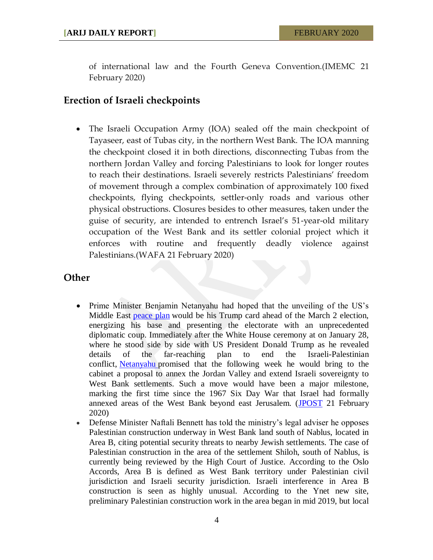of international law and the Fourth Geneva Convention.(IMEMC 21 February 2020)

## **Erection of Israeli checkpoints**

 The Israeli Occupation Army (IOA) sealed off the main checkpoint of Tayaseer, east of Tubas city, in the northern West Bank. The IOA manning the checkpoint closed it in both directions, disconnecting Tubas from the northern Jordan Valley and forcing Palestinians to look for longer routes to reach their destinations. Israeli severely restricts Palestinians' freedom of movement through a complex combination of approximately 100 fixed checkpoints, flying checkpoints, settler-only roads and various other physical obstructions. Closures besides to other measures, taken under the guise of security, are intended to entrench Israel's 51-year-old military occupation of the West Bank and its settler colonial project which it enforces with routine and frequently deadly violence against Palestinians.(WAFA 21 February 2020)

## **Other**

- Prime Minister Benjamin Netanyahu had hoped that the unveiling of the US's Middle East [peace plan](https://www.jpost.com/Tags/Deal-of-the-century) would be his Trump card ahead of the March 2 election, energizing his base and presenting the electorate with an unprecedented diplomatic coup. Immediately after the White House ceremony at on January 28, where he stood side by side with US President Donald Trump as he revealed details of the far-reaching plan to end the Israeli-Palestinian conflict, [Netanyahu](https://www.jpost.com/Israel-News/Netanyahu-meetings-with-Saudis-Gulf-leaders-wont-happen-before-election-617244) promised that the following week he would bring to the cabinet a proposal to annex the Jordan Valley and extend Israeli sovereignty to West Bank settlements. Such a move would have been a major milestone, marking the first time since the 1967 Six Day War that Israel had formally annexed areas of the West Bank beyond east Jerusalem. [\(JPOST](https://www.jpost.com/Israel-News/Politics-And-Diplomacy/Netanyahu-hoped-to-use-annexation-to-gain-votes-for-March-2-elections-617265) 21 February 2020)
- Defense Minister Naftali Bennett has told the ministry's legal adviser he opposes Palestinian construction underway in West Bank land south of Nablus, located in Area B, citing potential security threats to nearby Jewish settlements. The case of Palestinian construction in the area of the settlement Shiloh, south of Nablus, is currently being reviewed by the High Court of Justice. According to the Oslo Accords, Area B is defined as West Bank territory under Palestinian civil jurisdiction and Israeli security jurisdiction. Israeli interference in Area B construction is seen as highly unusual. According to the Ynet new site, preliminary Palestinian construction work in the area began in mid 2019, but local